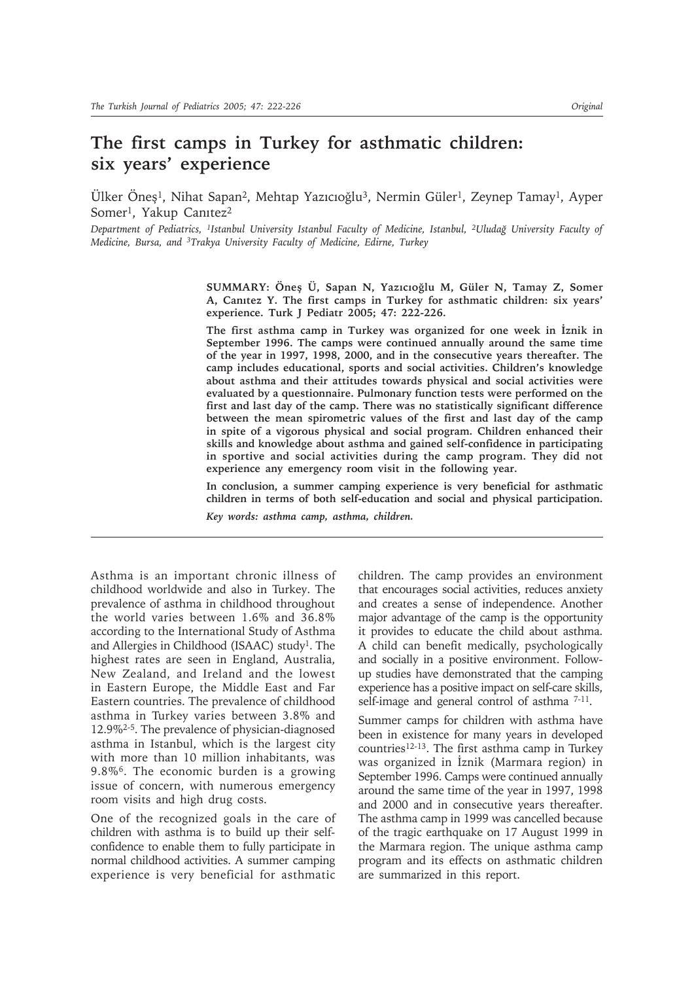# **The first camps in Turkey for asthmatic children: six years' experience**

Ülker Öneş1, Nihat Sapan2, Mehtap Yazıcıoğlu3, Nermin Güler1, Zeynep Tamay1, Ayper Somer<sup>1</sup>, Yakup Canitez<sup>2</sup>

*Department of Pediatrics, 1Istanbul University Istanbul Faculty of Medicine, Istanbul, 2Uludağ University Faculty of Medicine, Bursa, and 3Trakya University Faculty of Medicine, Edirne, Turkey*

> **SUMMARY: Öneş Ü, Sapan N, Yazıcıoğlu M, Güler N, Tamay Z, Somer A, Canıtez Y. The first camps in Turkey for asthmatic children: six years' experience. Turk J Pediatr 2005; 47: 222-226.**

> **The first asthma camp in Turkey was organized for one week in İznik in September 1996. The camps were continued annually around the same time of the year in 1997, 1998, 2000, and in the consecutive years thereafter. The camp includes educational, sports and social activities. Children's knowledge about asthma and their attitudes towards physical and social activities were evaluated by a questionnaire. Pulmonary function tests were performed on the first and last day of the camp. There was no statistically significant difference between the mean spirometric values of the first and last day of the camp in spite of a vigorous physical and social program. Children enhanced their skills and knowledge about asthma and gained self-confidence in participating in sportive and social activities during the camp program. They did not experience any emergency room visit in the following year.**

> **In conclusion, a summer camping experience is very beneficial for asthmatic children in terms of both self-education and social and physical participation.**

*Key words: asthma camp, asthma, children.*

Asthma is an important chronic illness of childhood worldwide and also in Turkey. The prevalence of asthma in childhood throughout the world varies between 1.6% and 36.8% according to the International Study of Asthma and Allergies in Childhood (ISAAC) study<sup>1</sup>. The highest rates are seen in England, Australia, New Zealand, and Ireland and the lowest in Eastern Europe, the Middle East and Far Eastern countries. The prevalence of childhood asthma in Turkey varies between 3.8% and 12.9%2-5. The prevalence of physician-diagnosed asthma in Istanbul, which is the largest city with more than 10 million inhabitants, was 9.8%6. The economic burden is a growing issue of concern, with numerous emergency room visits and high drug costs.

One of the recognized goals in the care of children with asthma is to build up their selfconfidence to enable them to fully participate in normal childhood activities. A summer camping experience is very beneficial for asthmatic

children. The camp provides an environment that encourages social activities, reduces anxiety and creates a sense of independence. Another major advantage of the camp is the opportunity it provides to educate the child about asthma. A child can benefit medically, psychologically and socially in a positive environment. Followup studies have demonstrated that the camping experience has a positive impact on self-care skills, self-image and general control of asthma  $7-11$ .

Summer camps for children with asthma have been in existence for many years in developed countries12-13. The first asthma camp in Turkey was organized in İznik (Marmara region) in September 1996. Camps were continued annually around the same time of the year in 1997, 1998 and 2000 and in consecutive years thereafter. The asthma camp in 1999 was cancelled because of the tragic earthquake on 17 August 1999 in the Marmara region. The unique asthma camp program and its effects on asthmatic children are summarized in this report.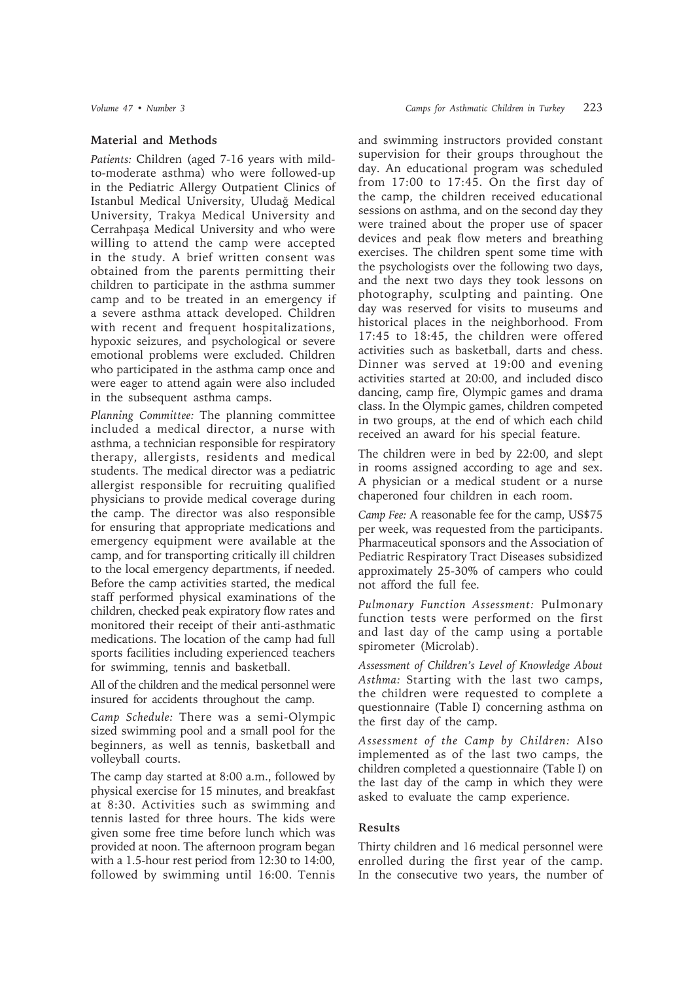## **Material and Methods**

*Patients:* Children (aged 7-16 years with mildto-moderate asthma) who were followed-up in the Pediatric Allergy Outpatient Clinics of Istanbul Medical University, Uludağ Medical University, Trakya Medical University and Cerrahpaşa Medical University and who were willing to attend the camp were accepted in the study. A brief written consent was obtained from the parents permitting their children to participate in the asthma summer camp and to be treated in an emergency if a severe asthma attack developed. Children with recent and frequent hospitalizations, hypoxic seizures, and psychological or severe emotional problems were excluded. Children who participated in the asthma camp once and were eager to attend again were also included in the subsequent asthma camps.

*Planning Committee:* The planning committee included a medical director, a nurse with asthma, a technician responsible for respiratory therapy, allergists, residents and medical students. The medical director was a pediatric allergist responsible for recruiting qualified physicians to provide medical coverage during the camp. The director was also responsible for ensuring that appropriate medications and emergency equipment were available at the camp, and for transporting critically ill children to the local emergency departments, if needed. Before the camp activities started, the medical staff performed physical examinations of the children, checked peak expiratory flow rates and monitored their receipt of their anti-asthmatic medications. The location of the camp had full sports facilities including experienced teachers for swimming, tennis and basketball.

All of the children and the medical personnel were insured for accidents throughout the camp.

*Camp Schedule:* There was a semi-Olympic sized swimming pool and a small pool for the beginners, as well as tennis, basketball and volleyball courts.

The camp day started at 8:00 a.m., followed by physical exercise for 15 minutes, and breakfast at 8:30. Activities such as swimming and tennis lasted for three hours. The kids were given some free time before lunch which was provided at noon. The afternoon program began with a 1.5-hour rest period from 12:30 to 14:00, followed by swimming until 16:00. Tennis

and swimming instructors provided constant supervision for their groups throughout the day. An educational program was scheduled from 17:00 to 17:45. On the first day of the camp, the children received educational sessions on asthma, and on the second day they were trained about the proper use of spacer devices and peak flow meters and breathing exercises. The children spent some time with the psychologists over the following two days, and the next two days they took lessons on photography, sculpting and painting. One day was reserved for visits to museums and historical places in the neighborhood. From 17:45 to 18:45, the children were offered activities such as basketball, darts and chess. Dinner was served at 19:00 and evening activities started at 20:00, and included disco dancing, camp fire, Olympic games and drama class. In the Olympic games, children competed in two groups, at the end of which each child received an award for his special feature.

The children were in bed by 22:00, and slept in rooms assigned according to age and sex. A physician or a medical student or a nurse chaperoned four children in each room.

*Camp Fee:* A reasonable fee for the camp, US\$75 per week, was requested from the participants. Pharmaceutical sponsors and the Association of Pediatric Respiratory Tract Diseases subsidized approximately 25-30% of campers who could not afford the full fee.

*Pulmonary Function Assessment:* Pulmonary function tests were performed on the first and last day of the camp using a portable spirometer (Microlab).

*Assessment of Children's Level of Knowledge About Asthma:* Starting with the last two camps, the children were requested to complete a questionnaire (Table I) concerning asthma on the first day of the camp.

*Assessment of the Camp by Children:* Also implemented as of the last two camps, the children completed a questionnaire (Table I) on the last day of the camp in which they were asked to evaluate the camp experience.

## **Results**

Thirty children and 16 medical personnel were enrolled during the first year of the camp. In the consecutive two years, the number of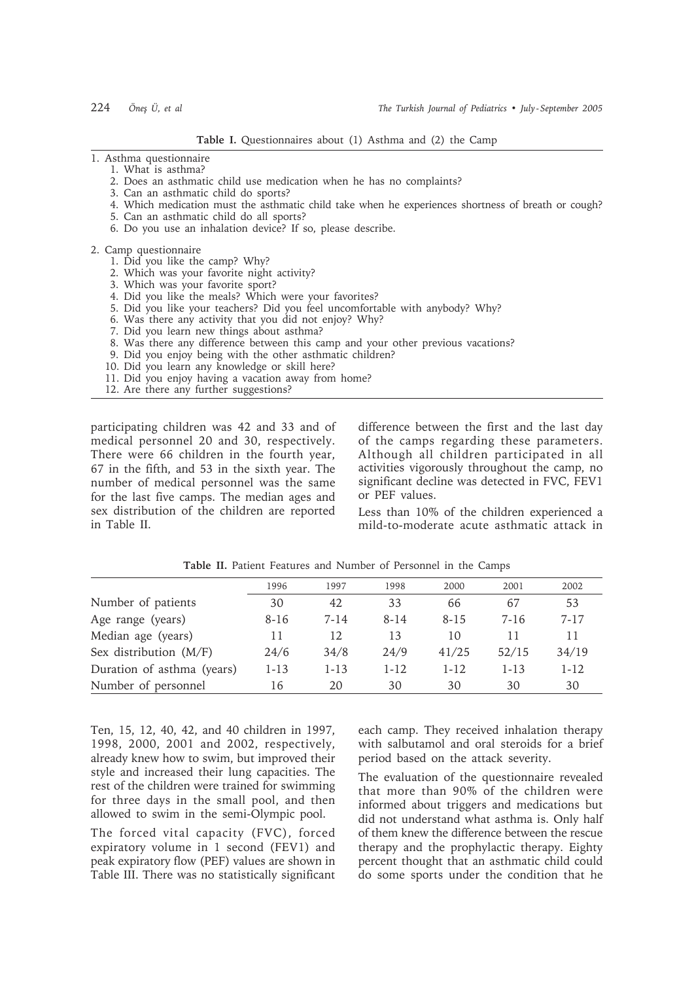**Table I.** Questionnaires about (1) Asthma and (2) the Camp

### 1. Asthma questionnaire

- 1. What is asthma?
- 2. Does an asthmatic child use medication when he has no complaints?
- 3. Can an asthmatic child do sports?
- 4. Which medication must the asthmatic child take when he experiences shortness of breath or cough?
- 5. Can an asthmatic child do all sports?
- 6. Do you use an inhalation device? If so, please describe.

#### 2. Camp questionnaire

- 1. Did you like the camp? Why?
- 2. Which was your favorite night activity?
- 3. Which was your favorite sport?
- 4. Did you like the meals? Which were your favorites? 5. Did you like your teachers? Did you feel uncomfortable with anybody? Why?
- 6. Was there any activity that you did not enjoy? Why?
- 7. Did you learn new things about asthma?
- 8. Was there any difference between this camp and your other previous vacations?
- 9. Did you enjoy being with the other asthmatic children?
- 10. Did you learn any knowledge or skill here?
- 11. Did you enjoy having a vacation away from home?
- 12. Are there any further suggestions?

participating children was 42 and 33 and of medical personnel 20 and 30, respectively. There were 66 children in the fourth year, 67 in the fifth, and 53 in the sixth year. The number of medical personnel was the same for the last five camps. The median ages and sex distribution of the children are reported in Table II.

difference between the first and the last day of the camps regarding these parameters. Although all children participated in all activities vigorously throughout the camp, no significant decline was detected in FVC, FEV1 or PEF values.

Less than 10% of the children experienced a mild-to-moderate acute asthmatic attack in

|                            | 1996     | 1997   | 1998   | 2000     | 2001     | 2002     |
|----------------------------|----------|--------|--------|----------|----------|----------|
| Number of patients         | 30       | 42     | 33     | 66       | 67       | 53       |
| Age range (years)          | 8-16     | 7-14   | 8-14   | 8-15     | 7-16     | $7 - 17$ |
| Median age (years)         | 11       | 12     | 13     | 10       | 11       | 11       |
| Sex distribution $(M/F)$   | 24/6     | 34/8   | 24/9   | 41/25    | 52/15    | 34/19    |
| Duration of asthma (years) | $1 - 13$ | $1-13$ | $1-12$ | $1 - 12$ | $1 - 13$ | $1 - 12$ |
| Number of personnel        | 16       | 20     | 30     | 30       | 30       | 30       |

**Table II.** Patient Features and Number of Personnel in the Camps

Ten, 15, 12, 40, 42, and 40 children in 1997, 1998, 2000, 2001 and 2002, respectively, already knew how to swim, but improved their style and increased their lung capacities. The rest of the children were trained for swimming for three days in the small pool, and then allowed to swim in the semi-Olympic pool.

The forced vital capacity (FVC), forced expiratory volume in 1 second (FEV1) and peak expiratory flow (PEF) values are shown in Table III. There was no statistically significant each camp. They received inhalation therapy with salbutamol and oral steroids for a brief period based on the attack severity.

The evaluation of the questionnaire revealed that more than 90% of the children were informed about triggers and medications but did not understand what asthma is. Only half of them knew the difference between the rescue therapy and the prophylactic therapy. Eighty percent thought that an asthmatic child could do some sports under the condition that he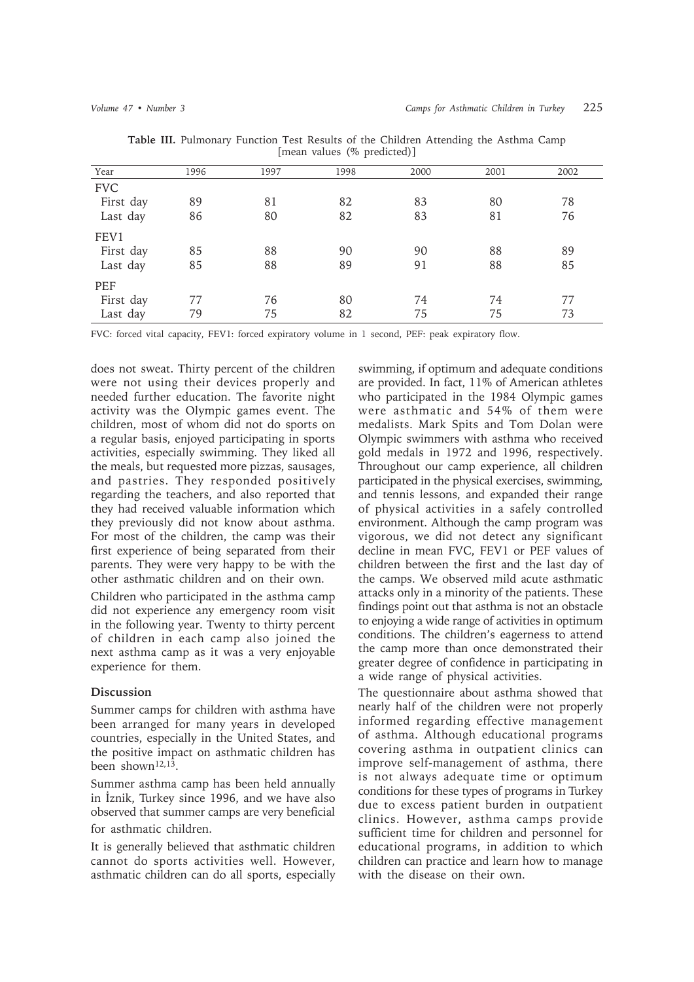| $\left  \ldots \right $ |      |      |      |      |      |      |  |  |  |  |
|-------------------------|------|------|------|------|------|------|--|--|--|--|
| Year                    | 1996 | 1997 | 1998 | 2000 | 2001 | 2002 |  |  |  |  |
| <b>FVC</b>              |      |      |      |      |      |      |  |  |  |  |
| First day               | 89   | 81   | 82   | 83   | 80   | 78   |  |  |  |  |
| Last day                | 86   | 80   | 82   | 83   | 81   | 76   |  |  |  |  |
| FEV1                    |      |      |      |      |      |      |  |  |  |  |
| First day               | 85   | 88   | 90   | 90   | 88   | 89   |  |  |  |  |
| Last day                | 85   | 88   | 89   | 91   | 88   | 85   |  |  |  |  |
| PEF                     |      |      |      |      |      |      |  |  |  |  |
| First day               | 77   | 76   | 80   | 74   | 74   | 77   |  |  |  |  |
| Last day                | 79   | 75   | 82   | 75   | 75   | 73   |  |  |  |  |
|                         |      |      |      |      |      |      |  |  |  |  |

**Table III.** Pulmonary Function Test Results of the Children Attending the Asthma Camp [mean values (% predicted)]

FVC: forced vital capacity, FEV1: forced expiratory volume in 1 second, PEF: peak expiratory flow.

does not sweat. Thirty percent of the children were not using their devices properly and needed further education. The favorite night activity was the Olympic games event. The children, most of whom did not do sports on a regular basis, enjoyed participating in sports activities, especially swimming. They liked all the meals, but requested more pizzas, sausages, and pastries. They responded positively regarding the teachers, and also reported that they had received valuable information which they previously did not know about asthma. For most of the children, the camp was their first experience of being separated from their parents. They were very happy to be with the other asthmatic children and on their own.

Children who participated in the asthma camp did not experience any emergency room visit in the following year. Twenty to thirty percent of children in each camp also joined the next asthma camp as it was a very enjoyable experience for them.

## **Discussion**

Summer camps for children with asthma have been arranged for many years in developed countries, especially in the United States, and the positive impact on asthmatic children has been shown<sup>12,13</sup>.

Summer asthma camp has been held annually in İznik, Turkey since 1996, and we have also observed that summer camps are very beneficial for asthmatic children.

It is generally believed that asthmatic children cannot do sports activities well. However, asthmatic children can do all sports, especially swimming, if optimum and adequate conditions are provided. In fact, 11% of American athletes who participated in the 1984 Olympic games were asthmatic and 54% of them were medalists. Mark Spits and Tom Dolan were Olympic swimmers with asthma who received gold medals in 1972 and 1996, respectively. Throughout our camp experience, all children participated in the physical exercises, swimming, and tennis lessons, and expanded their range of physical activities in a safely controlled environment. Although the camp program was vigorous, we did not detect any significant decline in mean FVC, FEV1 or PEF values of children between the first and the last day of the camps. We observed mild acute asthmatic attacks only in a minority of the patients. These findings point out that asthma is not an obstacle to enjoying a wide range of activities in optimum conditions. The children's eagerness to attend the camp more than once demonstrated their greater degree of confidence in participating in a wide range of physical activities.

The questionnaire about asthma showed that nearly half of the children were not properly informed regarding effective management of asthma. Although educational programs covering asthma in outpatient clinics can improve self-management of asthma, there is not always adequate time or optimum conditions for these types of programs in Turkey due to excess patient burden in outpatient clinics. However, asthma camps provide sufficient time for children and personnel for educational programs, in addition to which children can practice and learn how to manage with the disease on their own.